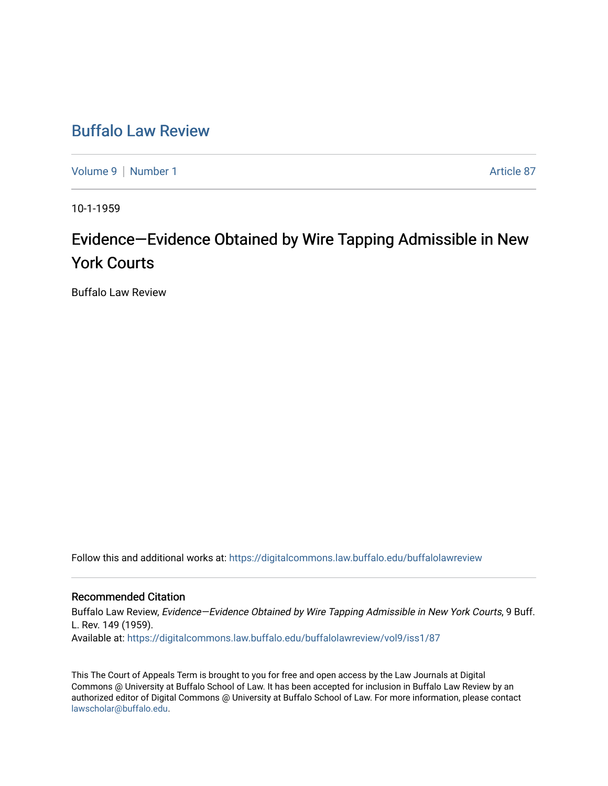## [Buffalo Law Review](https://digitalcommons.law.buffalo.edu/buffalolawreview)

[Volume 9](https://digitalcommons.law.buffalo.edu/buffalolawreview/vol9) | [Number 1](https://digitalcommons.law.buffalo.edu/buffalolawreview/vol9/iss1) Article 87

10-1-1959

## Evidence—Evidence Obtained by Wire Tapping Admissible in New York Courts

Buffalo Law Review

Follow this and additional works at: [https://digitalcommons.law.buffalo.edu/buffalolawreview](https://digitalcommons.law.buffalo.edu/buffalolawreview?utm_source=digitalcommons.law.buffalo.edu%2Fbuffalolawreview%2Fvol9%2Fiss1%2F87&utm_medium=PDF&utm_campaign=PDFCoverPages) 

## Recommended Citation

Buffalo Law Review, Evidence-Evidence Obtained by Wire Tapping Admissible in New York Courts, 9 Buff. L. Rev. 149 (1959). Available at: [https://digitalcommons.law.buffalo.edu/buffalolawreview/vol9/iss1/87](https://digitalcommons.law.buffalo.edu/buffalolawreview/vol9/iss1/87?utm_source=digitalcommons.law.buffalo.edu%2Fbuffalolawreview%2Fvol9%2Fiss1%2F87&utm_medium=PDF&utm_campaign=PDFCoverPages) 

This The Court of Appeals Term is brought to you for free and open access by the Law Journals at Digital Commons @ University at Buffalo School of Law. It has been accepted for inclusion in Buffalo Law Review by an authorized editor of Digital Commons @ University at Buffalo School of Law. For more information, please contact [lawscholar@buffalo.edu](mailto:lawscholar@buffalo.edu).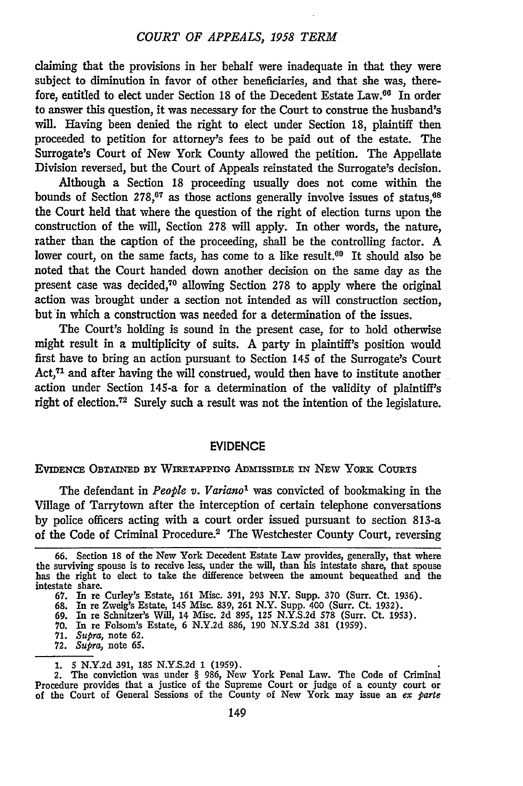claiming that the provisions in her behalf were inadequate in that they were subject to diminution in favor of other beneficiaries, and that she was, therefore, entitled to elect under Section 18 of the Decedent Estate Law.<sup>66</sup> In order to answer this question, it was necessary for the Court to construe the husband's will. Having been denied the right to elect under Section 18, plaintiff then proceeded to petition for attorney's fees to be paid out of the estate. The Surrogate's Court of New York County allowed the petition. The Appellate Division reversed, but the Court of Appeals reinstated the Surrogate's decision.

Although a Section 18 proceeding usually does not come within the bounds of Section 278,<sup>67</sup> as those actions generally involve issues of status,<sup>68</sup> the Court held that where the question of the right of election turns upon the construction of the will, Section **278** will apply. In other words, the nature, rather than the caption of the proceeding, shall be the controlling factor. A lower court, on the same facts, has come to a like result.<sup>69</sup> It should also be noted that the Court handed down another decision on the same day as the present case was decided,<sup>70</sup> allowing Section 278 to apply where the original action was brought under a section not intended as will construction section, but in which a construction was needed for a determination of the issues.

The Court's holding is sound in the present case, for to hold otherwise might result in a multiplicity of suits. A party in plaintiff's position would first have to bring an action pursuant to Section 145 of the Surrogate's Court Act,<sup>71</sup> and after having the will construed, would then have to institute another action under Section 145-a for a determination of the validity of plaintiff's right of election.<sup>72</sup> Surely such a result was not the intention of the legislature.

## **EVIDENCE**

EVIDENCE OBTAINED BY WIRETAPPING ADMISSIBLE IN NEW YoRK CouRTs

The defendant in *People v. Varianol* was convicted of bookmaking in the Village of Tarrytown after the interception of certain telephone conversations **by** police officers acting with a court order issued pursuant to section 813-a of the Code of Criminal Procedure.2 The Westchester County Court, reversing

**<sup>66.</sup>** Section 18 of the New York Decedent Estate Law provides, generally, that where the surviving spouse is to receive less, under the will, than his intestate share, that spouse has the right to elect to take the difference between the amount bequeathed and the intestate share.

<sup>67.</sup> In re Curley's Estate, **161** Misc. 391, **293** N.Y. Supp. **370** (Surr. Ct. 1936).

<sup>68.</sup> In re Zweig<sup>3</sup>s Estate, 145 Misc. 839, 261 N.Y. Supp. 400 (Surr. Ct. 1932).<br>69. In re Schnitzer's Will, 14 Misc. 2d 895, 125 N.Y.S.2d 578 (Surr. Ct. 1953)<br>70. In re Folsom's Estate, 6 N.Y.2d 886, 190 N.Y.S.2d 381 (1959

**<sup>71.</sup>** *Supra,* note 62.

**<sup>72.</sup>** *Supra,* note **65.**

<sup>1.</sup> **5** N.Y.2d **391, 185** N.Y.S.2d 1 (1959).

<sup>2.</sup> The conviction was under § 986, New York Penal Law. The Code of Criminal Procedure provides that a justice of the Supreme Court or judge of a county court or of the Court of General Sessions of the County of New York may issue an *ex parte*